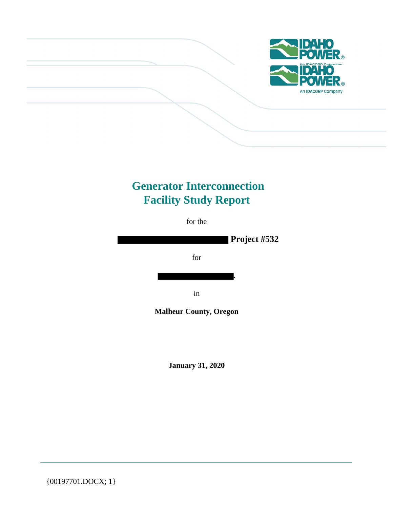

# **Generator Interconnection Facility Study Report**

for the



**Malheur County, Oregon**

**January 31, 2020**

{00197701.DOCX; 1}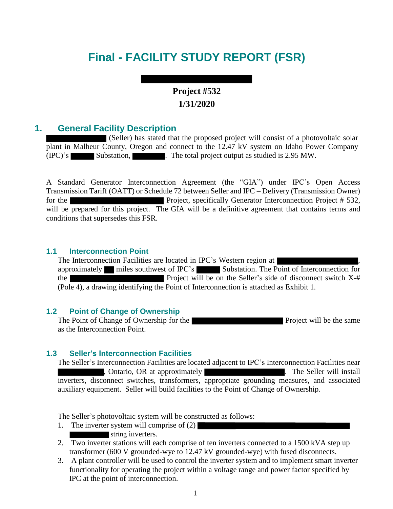# **Final - FACILITY STUDY REPORT (FSR)**

# **Project #532 1/31/2020**

# **1. General Facility Description**

(Seller) has stated that the proposed project will consist of a photovoltaic solar plant in Malheur County, Oregon and connect to the 12.47 kV system on Idaho Power Company (IPC)'s Substation, . The total project output as studied is 2.95 MW.

A Standard Generator Interconnection Agreement (the "GIA") under IPC's Open Access Transmission Tariff (OATT) or Schedule 72 between Seller and IPC – Delivery (Transmission Owner) for the **Project**, specifically Generator Interconnection Project # 532, will be prepared for this project. The GIA will be a definitive agreement that contains terms and conditions that supersedes this FSR.

### **1.1 Interconnection Point**

The Interconnection Facilities are located in IPC's Western region at approximately miles southwest of IPC's Substation. The Point of Interconnection for the Project will be on the Seller's side of disconnect switch X-# (Pole 4), a drawing identifying the Point of Interconnection is attached as Exhibit 1.

#### **1.2 Point of Change of Ownership**

The Point of Change of Ownership for the Project will be the same as the Interconnection Point.

#### **1.3 Seller's Interconnection Facilities**

The Seller's Interconnection Facilities are located adjacent to IPC's Interconnection Facilities near , Ontario, OR at approximately . The Seller will install inverters, disconnect switches, transformers, appropriate grounding measures, and associated auxiliary equipment. Seller will build facilities to the Point of Change of Ownership.

The Seller's photovoltaic system will be constructed as follows:

- 1. The inverter system will comprise of (2)
- string inverters.
- 2. Two inverter stations will each comprise of ten inverters connected to a 1500 kVA step up transformer (600 V grounded-wye to 12.47 kV grounded-wye) with fused disconnects.
- 3. A plant controller will be used to control the inverter system and to implement smart inverter functionality for operating the project within a voltage range and power factor specified by IPC at the point of interconnection.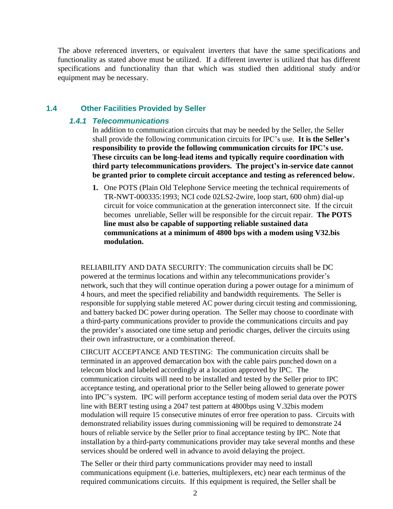The above referenced inverters, or equivalent inverters that have the same specifications and functionality as stated above must be utilized. If a different inverter is utilized that has different specifications and functionality than that which was studied then additional study and/or equipment may be necessary.

#### **1.4 Other Facilities Provided by Seller**

#### *1.4.1 Telecommunications*

In addition to communication circuits that may be needed by the Seller, the Seller shall provide the following communication circuits for IPC's use. **It is the Seller's responsibility to provide the following communication circuits for IPC's use. These circuits can be long-lead items and typically require coordination with third party telecommunications providers. The project's in-service date cannot be granted prior to complete circuit acceptance and testing as referenced below.**

**1.** One POTS (Plain Old Telephone Service meeting the technical requirements of TR-NWT-000335:1993; NCI code 02LS2-2wire, loop start, 600 ohm) dial-up circuit for voice communication at the generation interconnect site. If the circuit becomes unreliable, Seller will be responsible for the circuit repair. **The POTS line must also be capable of supporting reliable sustained data communications at a minimum of 4800 bps with a modem using V32.bis modulation.**

RELIABILITY AND DATA SECURITY: The communication circuits shall be DC powered at the terminus locations and within any telecommunications provider's network, such that they will continue operation during a power outage for a minimum of 4 hours, and meet the specified reliability and bandwidth requirements. The Seller is responsible for supplying stable metered AC power during circuit testing and commissioning, and battery backed DC power during operation. The Seller may choose to coordinate with a third-party communications provider to provide the communications circuits and pay the provider's associated one time setup and periodic charges, deliver the circuits using their own infrastructure, or a combination thereof.

CIRCUIT ACCEPTANCE AND TESTING: The communication circuits shall be terminated in an approved demarcation box with the cable pairs punched down on a telecom block and labeled accordingly at a location approved by IPC. The communication circuits will need to be installed and tested by the Seller prior to IPC acceptance testing, and operational prior to the Seller being allowed to generate power into IPC's system. IPC will perform acceptance testing of modem serial data over the POTS line with BERT testing using a 2047 test pattern at 4800bps using V.32bis modem modulation will require 15 consecutive minutes of error free operation to pass. Circuits with demonstrated reliability issues during commissioning will be required to demonstrate 24 hours of reliable service by the Seller prior to final acceptance testing by IPC. Note that installation by a third-party communications provider may take several months and these services should be ordered well in advance to avoid delaying the project.

The Seller or their third party communications provider may need to install communications equipment (i.e. batteries, multiplexers, etc) near each terminus of the required communications circuits. If this equipment is required, the Seller shall be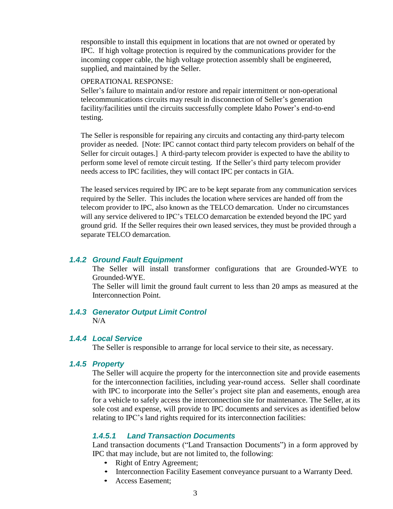responsible to install this equipment in locations that are not owned or operated by IPC. If high voltage protection is required by the communications provider for the incoming copper cable, the high voltage protection assembly shall be engineered, supplied, and maintained by the Seller.

#### OPERATIONAL RESPONSE:

Seller's failure to maintain and/or restore and repair intermittent or non-operational telecommunications circuits may result in disconnection of Seller's generation facility/facilities until the circuits successfully complete Idaho Power's end-to-end testing.

The Seller is responsible for repairing any circuits and contacting any third-party telecom provider as needed. [Note: IPC cannot contact third party telecom providers on behalf of the Seller for circuit outages.] A third-party telecom provider is expected to have the ability to perform some level of remote circuit testing. If the Seller's third party telecom provider needs access to IPC facilities, they will contact IPC per contacts in GIA.

The leased services required by IPC are to be kept separate from any communication services required by the Seller. This includes the location where services are handed off from the telecom provider to IPC, also known as the TELCO demarcation. Under no circumstances will any service delivered to IPC's TELCO demarcation be extended beyond the IPC yard ground grid. If the Seller requires their own leased services, they must be provided through a separate TELCO demarcation.

#### *1.4.2 Ground Fault Equipment*

The Seller will install transformer configurations that are Grounded-WYE to Grounded-WYE.

The Seller will limit the ground fault current to less than 20 amps as measured at the Interconnection Point.

#### *1.4.3 Generator Output Limit Control*  $N/A$

#### *1.4.4 Local Service*

The Seller is responsible to arrange for local service to their site, as necessary.

#### *1.4.5 Property*

The Seller will acquire the property for the interconnection site and provide easements for the interconnection facilities, including year-round access. Seller shall coordinate with IPC to incorporate into the Seller's project site plan and easements, enough area for a vehicle to safely access the interconnection site for maintenance. The Seller, at its sole cost and expense, will provide to IPC documents and services as identified below relating to IPC's land rights required for its interconnection facilities:

#### *1.4.5.1 Land Transaction Documents*

Land transaction documents ("Land Transaction Documents") in a form approved by IPC that may include, but are not limited to, the following:

- Right of Entry Agreement;
- Interconnection Facility Easement conveyance pursuant to a Warranty Deed.
- Access Easement;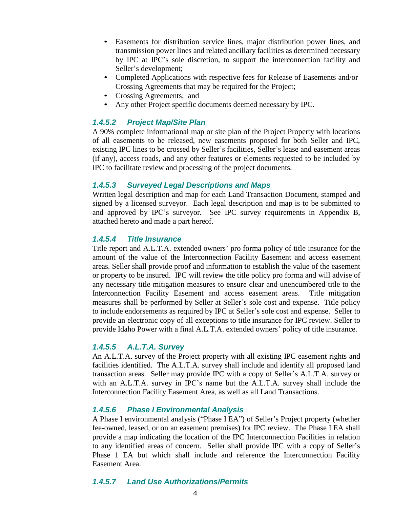- Easements for distribution service lines, major distribution power lines, and transmission power lines and related ancillary facilities as determined necessary by IPC at IPC's sole discretion, to support the interconnection facility and Seller's development;
- Completed Applications with respective fees for Release of Easements and/or Crossing Agreements that may be required for the Project;
- Crossing Agreements; and
- Any other Project specific documents deemed necessary by IPC.

## *1.4.5.2 Project Map/Site Plan*

A 90% complete informational map or site plan of the Project Property with locations of all easements to be released, new easements proposed for both Seller and IPC, existing IPC lines to be crossed by Seller's facilities, Seller's lease and easement areas (if any), access roads, and any other features or elements requested to be included by IPC to facilitate review and processing of the project documents.

## *1.4.5.3 Surveyed Legal Descriptions and Maps*

Written legal description and map for each Land Transaction Document, stamped and signed by a licensed surveyor. Each legal description and map is to be submitted to and approved by IPC's surveyor. See IPC survey requirements in Appendix B, attached hereto and made a part hereof.

### *1.4.5.4 Title Insurance*

Title report and A.L.T.A. extended owners' pro forma policy of title insurance for the amount of the value of the Interconnection Facility Easement and access easement areas. Seller shall provide proof and information to establish the value of the easement or property to be insured. IPC will review the title policy pro forma and will advise of any necessary title mitigation measures to ensure clear and unencumbered title to the Interconnection Facility Easement and access easement areas. Title mitigation measures shall be performed by Seller at Seller's sole cost and expense. Title policy to include endorsements as required by IPC at Seller's sole cost and expense. Seller to provide an electronic copy of all exceptions to title insurance for IPC review. Seller to provide Idaho Power with a final A.L.T.A. extended owners' policy of title insurance.

## *1.4.5.5 A.L.T.A. Survey*

An A.L.T.A. survey of the Project property with all existing IPC easement rights and facilities identified. The A.L.T.A. survey shall include and identify all proposed land transaction areas. Seller may provide IPC with a copy of Seller's A.L.T.A. survey or with an A.L.T.A. survey in IPC's name but the A.L.T.A. survey shall include the Interconnection Facility Easement Area, as well as all Land Transactions.

## *1.4.5.6 Phase I Environmental Analysis*

A Phase I environmental analysis ("Phase I EA") of Seller's Project property (whether fee-owned, leased, or on an easement premises) for IPC review. The Phase I EA shall provide a map indicating the location of the IPC Interconnection Facilities in relation to any identified areas of concern. Seller shall provide IPC with a copy of Seller's Phase 1 EA but which shall include and reference the Interconnection Facility Easement Area.

## *1.4.5.7 Land Use Authorizations/Permits*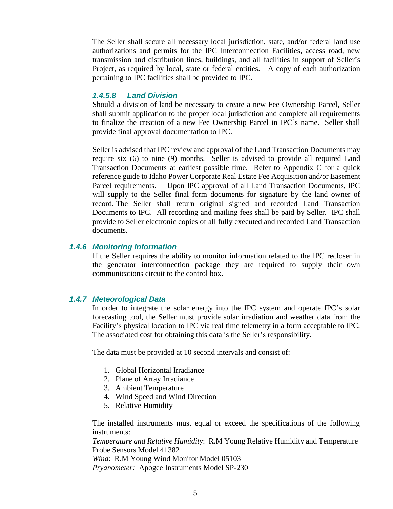The Seller shall secure all necessary local jurisdiction, state, and/or federal land use authorizations and permits for the IPC Interconnection Facilities, access road, new transmission and distribution lines, buildings, and all facilities in support of Seller's Project, as required by local, state or federal entities. A copy of each authorization pertaining to IPC facilities shall be provided to IPC.

#### *1.4.5.8 Land Division*

Should a division of land be necessary to create a new Fee Ownership Parcel, Seller shall submit application to the proper local jurisdiction and complete all requirements to finalize the creation of a new Fee Ownership Parcel in IPC's name. Seller shall provide final approval documentation to IPC.

Seller is advised that IPC review and approval of the Land Transaction Documents may require six (6) to nine (9) months. Seller is advised to provide all required Land Transaction Documents at earliest possible time. Refer to Appendix C for a quick reference guide to Idaho Power Corporate Real Estate Fee Acquisition and/or Easement Parcel requirements. Upon IPC approval of all Land Transaction Documents, IPC will supply to the Seller final form documents for signature by the land owner of record. The Seller shall return original signed and recorded Land Transaction Documents to IPC. All recording and mailing fees shall be paid by Seller. IPC shall provide to Seller electronic copies of all fully executed and recorded Land Transaction documents.

#### *1.4.6 Monitoring Information*

If the Seller requires the ability to monitor information related to the IPC recloser in the generator interconnection package they are required to supply their own communications circuit to the control box.

#### *1.4.7 Meteorological Data*

In order to integrate the solar energy into the IPC system and operate IPC's solar forecasting tool, the Seller must provide solar irradiation and weather data from the Facility's physical location to IPC via real time telemetry in a form acceptable to IPC. The associated cost for obtaining this data is the Seller's responsibility.

The data must be provided at 10 second intervals and consist of:

- 1. Global Horizontal Irradiance
- 2. Plane of Array Irradiance
- 3. Ambient Temperature
- 4. Wind Speed and Wind Direction
- 5. Relative Humidity

The installed instruments must equal or exceed the specifications of the following instruments:

*Temperature and Relative Humidity*: R.M Young Relative Humidity and Temperature Probe Sensors Model 41382

*Wind*: R.M Young Wind Monitor Model 05103 *Pryanometer:* Apogee Instruments Model SP-230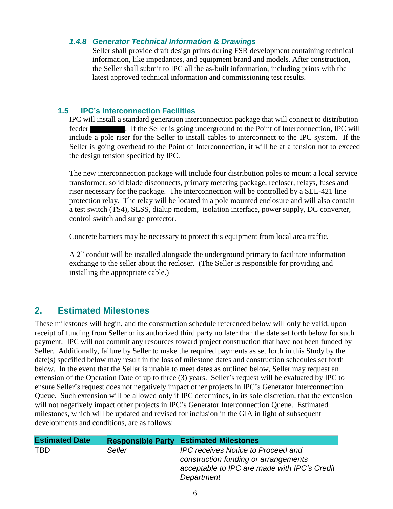## *1.4.8 Generator Technical Information & Drawings*

Seller shall provide draft design prints during FSR development containing technical information, like impedances, and equipment brand and models. After construction, the Seller shall submit to IPC all the as-built information, including prints with the latest approved technical information and commissioning test results.

# **1.5 IPC's Interconnection Facilities**

IPC will install a standard generation interconnection package that will connect to distribution feeder . If the Seller is going underground to the Point of Interconnection, IPC will include a pole riser for the Seller to install cables to interconnect to the IPC system. If the Seller is going overhead to the Point of Interconnection, it will be at a tension not to exceed the design tension specified by IPC.

The new interconnection package will include four distribution poles to mount a local service transformer, solid blade disconnects, primary metering package, recloser, relays, fuses and riser necessary for the package. The interconnection will be controlled by a SEL-421 line protection relay. The relay will be located in a pole mounted enclosure and will also contain a test switch (TS4), SLSS, dialup modem, isolation interface, power supply, DC converter, control switch and surge protector.

Concrete barriers may be necessary to protect this equipment from local area traffic.

A 2" conduit will be installed alongside the underground primary to facilitate information exchange to the seller about the recloser. (The Seller is responsible for providing and installing the appropriate cable.)

# **2. Estimated Milestones**

These milestones will begin, and the construction schedule referenced below will only be valid, upon receipt of funding from Seller or its authorized third party no later than the date set forth below for such payment. IPC will not commit any resources toward project construction that have not been funded by Seller. Additionally, failure by Seller to make the required payments as set forth in this Study by the date(s) specified below may result in the loss of milestone dates and construction schedules set forth below. In the event that the Seller is unable to meet dates as outlined below, Seller may request an extension of the Operation Date of up to three (3) years. Seller's request will be evaluated by IPC to ensure Seller's request does not negatively impact other projects in IPC's Generator Interconnection Queue. Such extension will be allowed only if IPC determines, in its sole discretion, that the extension will not negatively impact other projects in IPC's Generator Interconnection Queue. Estimated milestones, which will be updated and revised for inclusion in the GIA in light of subsequent developments and conditions, are as follows:

| <b>Estimated Date</b> |        | <b>Responsible Party Estimated Milestones</b>                                                                                                   |
|-----------------------|--------|-------------------------------------------------------------------------------------------------------------------------------------------------|
| <b>TBD</b>            | Seller | <b>IPC receives Notice to Proceed and</b><br>construction funding or arrangements<br>acceptable to IPC are made with IPC's Credit<br>Department |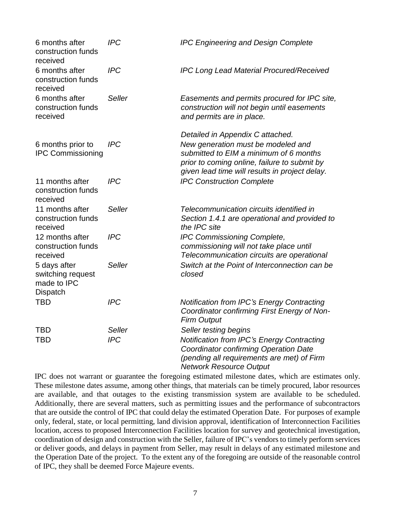| 6 months after<br>construction funds<br>received             | <b>IPC</b>    | <b>IPC Engineering and Design Complete</b>                                                                                                                                                                         |
|--------------------------------------------------------------|---------------|--------------------------------------------------------------------------------------------------------------------------------------------------------------------------------------------------------------------|
| 6 months after<br>construction funds<br>received             | <b>IPC</b>    | <b>IPC Long Lead Material Procured/Received</b>                                                                                                                                                                    |
| 6 months after<br>construction funds<br>received             | <b>Seller</b> | Easements and permits procured for IPC site,<br>construction will not begin until easements<br>and permits are in place.                                                                                           |
| 6 months prior to<br><b>IPC Commissioning</b>                | <b>IPC</b>    | Detailed in Appendix C attached.<br>New generation must be modeled and<br>submitted to EIM a minimum of 6 months<br>prior to coming online, failure to submit by<br>given lead time will results in project delay. |
| 11 months after<br>construction funds<br>received            | <b>IPC</b>    | <b>IPC Construction Complete</b>                                                                                                                                                                                   |
| 11 months after<br>construction funds<br>received            | <b>Seller</b> | Telecommunication circuits identified in<br>Section 1.4.1 are operational and provided to<br>the IPC site                                                                                                          |
| 12 months after<br>construction funds<br>received            | <b>IPC</b>    | IPC Commissioning Complete,<br>commissioning will not take place until<br>Telecommunication circuits are operational                                                                                               |
| 5 days after<br>switching request<br>made to IPC<br>Dispatch | <b>Seller</b> | Switch at the Point of Interconnection can be<br>closed                                                                                                                                                            |
| <b>TBD</b>                                                   | <b>IPC</b>    | <b>Notification from IPC's Energy Contracting</b><br>Coordinator confirming First Energy of Non-<br><b>Firm Output</b>                                                                                             |
| <b>TBD</b>                                                   | <b>Seller</b> | Seller testing begins                                                                                                                                                                                              |
| <b>TBD</b>                                                   | <b>IPC</b>    | <b>Notification from IPC's Energy Contracting</b><br><b>Coordinator confirming Operation Date</b><br>(pending all requirements are met) of Firm<br><b>Network Resource Output</b>                                  |

IPC does not warrant or guarantee the foregoing estimated milestone dates, which are estimates only. These milestone dates assume, among other things, that materials can be timely procured, labor resources are available, and that outages to the existing transmission system are available to be scheduled. Additionally, there are several matters, such as permitting issues and the performance of subcontractors that are outside the control of IPC that could delay the estimated Operation Date. For purposes of example only, federal, state, or local permitting, land division approval, identification of Interconnection Facilities location, access to proposed Interconnection Facilities location for survey and geotechnical investigation, coordination of design and construction with the Seller, failure of IPC's vendors to timely perform services or deliver goods, and delays in payment from Seller, may result in delays of any estimated milestone and the Operation Date of the project. To the extent any of the foregoing are outside of the reasonable control of IPC, they shall be deemed Force Majeure events.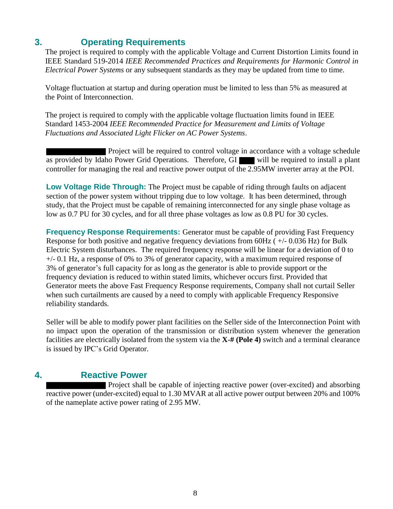# **3. Operating Requirements**

The project is required to comply with the applicable Voltage and Current Distortion Limits found in IEEE Standard 519-2014 *IEEE Recommended Practices and Requirements for Harmonic Control in Electrical Power Systems* or any subsequent standards as they may be updated from time to time.

Voltage fluctuation at startup and during operation must be limited to less than 5% as measured at the Point of Interconnection.

The project is required to comply with the applicable voltage fluctuation limits found in IEEE Standard 1453-2004 *IEEE Recommended Practice for Measurement and Limits of Voltage Fluctuations and Associated Light Flicker on AC Power Systems*.

Project will be required to control voltage in accordance with a voltage schedule as provided by Idaho Power Grid Operations. Therefore, GI will be required to install a plant controller for managing the real and reactive power output of the 2.95MW inverter array at the POI.

**Low Voltage Ride Through:** The Project must be capable of riding through faults on adjacent section of the power system without tripping due to low voltage. It has been determined, through study, that the Project must be capable of remaining interconnected for any single phase voltage as low as 0.7 PU for 30 cycles, and for all three phase voltages as low as 0.8 PU for 30 cycles.

**Frequency Response Requirements:** Generator must be capable of providing Fast Frequency Response for both positive and negative frequency deviations from 60Hz ( +/- 0.036 Hz) for Bulk Electric System disturbances. The required frequency response will be linear for a deviation of 0 to +/- 0.1 Hz, a response of 0% to 3% of generator capacity, with a maximum required response of 3% of generator's full capacity for as long as the generator is able to provide support or the frequency deviation is reduced to within stated limits, whichever occurs first. Provided that Generator meets the above Fast Frequency Response requirements, Company shall not curtail Seller when such curtailments are caused by a need to comply with applicable Frequency Responsive reliability standards.

Seller will be able to modify power plant facilities on the Seller side of the Interconnection Point with no impact upon the operation of the transmission or distribution system whenever the generation facilities are electrically isolated from the system via the **X-# (Pole 4)** switch and a terminal clearance is issued by IPC's Grid Operator.

# **4. Reactive Power**

Project shall be capable of injecting reactive power (over-excited) and absorbing reactive power (under-excited) equal to 1.30 MVAR at all active power output between 20% and 100% of the nameplate active power rating of 2.95 MW.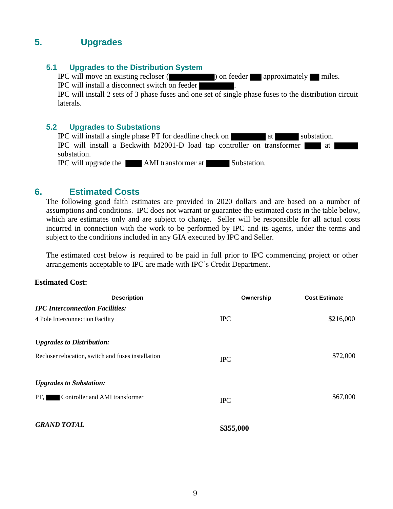# **5. Upgrades**

# **5.1 Upgrades to the Distribution System**

IPC will move an existing recloser ( ) on feeder approximately miles. IPC will install a disconnect switch on feeder .

IPC will install 2 sets of 3 phase fuses and one set of single phase fuses to the distribution circuit laterals.

### **5.2 Upgrades to Substations**

|                      | <b>IPC</b> will install a single phase PT for deadline check on        |             | at l | substation. |  |
|----------------------|------------------------------------------------------------------------|-------------|------|-------------|--|
|                      | IPC will install a Beckwith M2001-D load tap controller on transformer |             |      | ⊿ at        |  |
| substation.          |                                                                        |             |      |             |  |
| IPC will upgrade the | AMI transformer at                                                     | Substation. |      |             |  |

# **6. Estimated Costs**

The following good faith estimates are provided in 2020 dollars and are based on a number of assumptions and conditions. IPC does not warrant or guarantee the estimated costs in the table below, which are estimates only and are subject to change. Seller will be responsible for all actual costs incurred in connection with the work to be performed by IPC and its agents, under the terms and subject to the conditions included in any GIA executed by IPC and Seller.

The estimated cost below is required to be paid in full prior to IPC commencing project or other arrangements acceptable to IPC are made with IPC's Credit Department.

#### **Estimated Cost:**

| <b>Description</b>                                 | Ownership  | <b>Cost Estimate</b> |
|----------------------------------------------------|------------|----------------------|
| <b>IPC Interconnection Facilities:</b>             |            |                      |
| 4 Pole Interconnection Facility                    | <b>IPC</b> | \$216,000            |
| <b>Upgrades to Distribution:</b>                   |            |                      |
| Recloser relocation, switch and fuses installation | <b>IPC</b> | \$72,000             |
| <b>Upgrades to Substation:</b>                     |            |                      |
| Controller and AMI transformer<br>PT.              | <b>IPC</b> | \$67,000             |
| <b>GRAND TOTAL</b>                                 | \$355,000  |                      |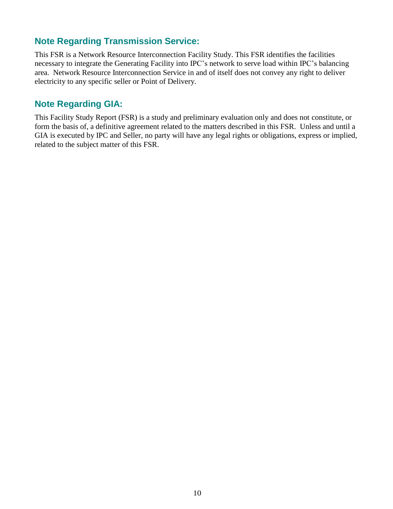# **Note Regarding Transmission Service:**

This FSR is a Network Resource Interconnection Facility Study. This FSR identifies the facilities necessary to integrate the Generating Facility into IPC's network to serve load within IPC's balancing area. Network Resource Interconnection Service in and of itself does not convey any right to deliver electricity to any specific seller or Point of Delivery.

# **Note Regarding GIA:**

This Facility Study Report (FSR) is a study and preliminary evaluation only and does not constitute, or form the basis of, a definitive agreement related to the matters described in this FSR. Unless and until a GIA is executed by IPC and Seller, no party will have any legal rights or obligations, express or implied, related to the subject matter of this FSR.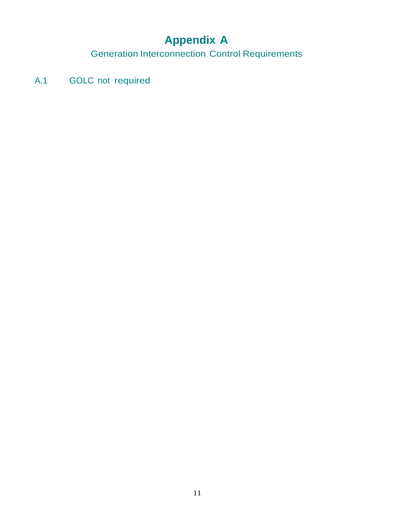# **Appendix A**

Generation Interconnection Control Requirements

A.1 GOLC not required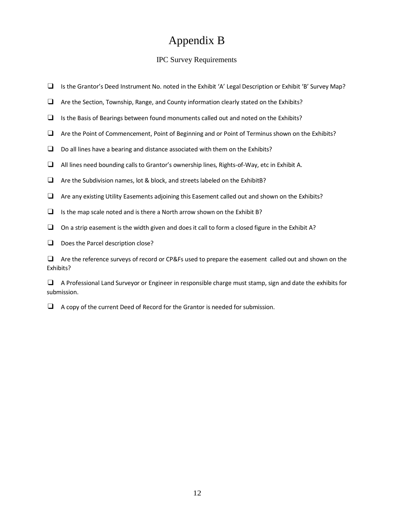# Appendix B

### IPC Survey Requirements

- ❑ Is the Grantor's Deed Instrument No. noted in the Exhibit 'A' Legal Description or Exhibit 'B' Survey Map?
- ❑ Are the Section, Township, Range, and County information clearly stated on the Exhibits?
- ❑ Is the Basis of Bearings between found monuments called out and noted on the Exhibits?
- ❑ Are the Point of Commencement, Point of Beginning and or Point of Terminus shown on the Exhibits?
- $\Box$  Do all lines have a bearing and distance associated with them on the Exhibits?
- ❑ All lines need bounding callsto Grantor's ownership lines, Rights-of-Way, etc in Exhibit A.
- ❑ Are the Subdivision names, lot & block, and streets labeled on the ExhibitB?
- ❑ Are any existing Utility Easements adjoining this Easement called out and shown on the Exhibits?
- $\Box$  Is the map scale noted and is there a North arrow shown on the Exhibit B?
- $\Box$  On a strip easement is the width given and does it call to form a closed figure in the Exhibit A?
- □ Does the Parcel description close?

❑ Are the reference surveys of record or CP&Fs used to prepare the easement called out and shown on the Exhibits?

❑ A Professional Land Surveyor or Engineer in responsible charge must stamp, sign and date the exhibits for submission.

❑ A copy of the current Deed of Record for the Grantor is needed for submission.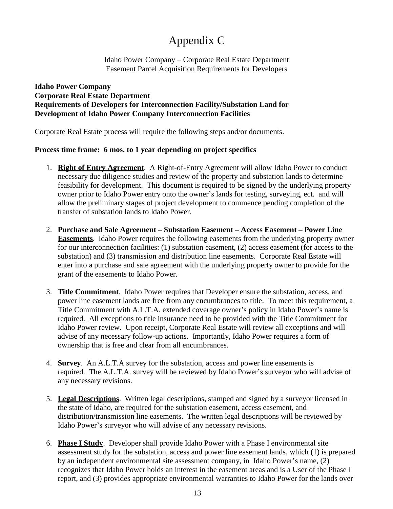# Appendix C

Idaho Power Company – Corporate Real Estate Department Easement Parcel Acquisition Requirements for Developers

### **Idaho Power Company Corporate Real Estate Department Requirements of Developers for Interconnection Facility/Substation Land for Development of Idaho Power Company Interconnection Facilities**

Corporate Real Estate process will require the following steps and/or documents.

## **Process time frame: 6 mos. to 1 year depending on project specifics**

- 1. **Right of Entry Agreement**. A Right-of-Entry Agreement will allow Idaho Power to conduct necessary due diligence studies and review of the property and substation lands to determine feasibility for development. This document is required to be signed by the underlying property owner prior to Idaho Power entry onto the owner's lands for testing, surveying, ect. and will allow the preliminary stages of project development to commence pending completion of the transfer of substation lands to Idaho Power.
- 2. **Purchase and Sale Agreement – Substation Easement – Access Easement – Power Line Easements**. Idaho Power requires the following easements from the underlying property owner for our interconnection facilities: (1) substation easement, (2) access easement (for access to the substation) and (3) transmission and distribution line easements. Corporate Real Estate will enter into a purchase and sale agreement with the underlying property owner to provide for the grant of the easements to Idaho Power.
- 3. **Title Commitment**. Idaho Power requires that Developer ensure the substation, access, and power line easement lands are free from any encumbrances to title. To meet this requirement, a Title Commitment with A.L.T.A. extended coverage owner's policy in Idaho Power's name is required. All exceptions to title insurance need to be provided with the Title Commitment for Idaho Power review. Upon receipt, Corporate Real Estate will review all exceptions and will advise of any necessary follow-up actions. Importantly, Idaho Power requires a form of ownership that is free and clear from all encumbrances.
- 4. **Survey**. An A.L.T.A survey for the substation, access and power line easements is required. The A.L.T.A. survey will be reviewed by Idaho Power's surveyor who will advise of any necessary revisions.
- 5. **Legal Descriptions**. Written legal descriptions, stamped and signed by a surveyor licensed in the state of Idaho, are required for the substation easement, access easement, and distribution/transmission line easements. The written legal descriptions will be reviewed by Idaho Power's surveyor who will advise of any necessary revisions.
- 6. **Phase I Study**. Developer shall provide Idaho Power with a Phase I environmental site assessment study for the substation, access and power line easement lands, which (1) is prepared by an independent environmental site assessment company, in Idaho Power's name, (2) recognizes that Idaho Power holds an interest in the easement areas and is a User of the Phase I report, and (3) provides appropriate environmental warranties to Idaho Power for the lands over